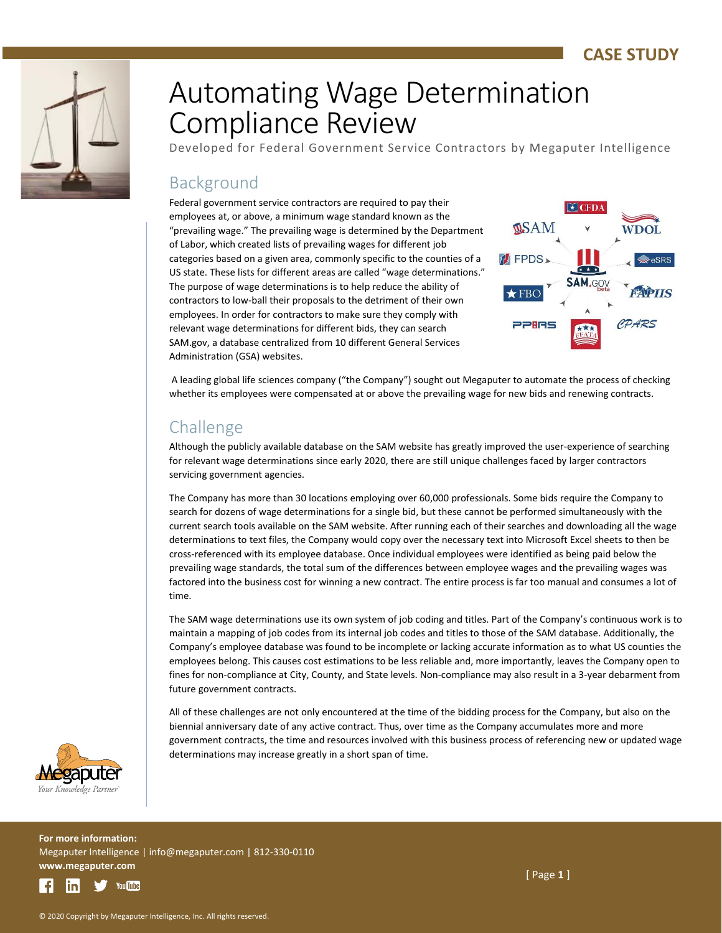

# Automating Wage Determination Compliance Review

Developed for Federal Government Service Contractors by Megaputer Intelligence

### Background

Federal government service contractors are required to pay their employees at, or above, a minimum wage standard known as the "prevailing wage." The prevailing wage is determined by the Department of Labor, which created lists of prevailing wages for different job categories based on a given area, commonly specific to the counties of a US state. These lists for different areas are called "wage determinations." The purpose of wage determinations is to help reduce the ability of contractors to low-ball their proposals to the detriment of their own employees. In order for contractors to make sure they comply with relevant wage determinations for different bids, they can search SAM.gov, a database centralized from 10 different General Services Administration (GSA) websites.



A leading global life sciences company ("the Company") sought out Megaputer to automate the process of checking whether its employees were compensated at or above the prevailing wage for new bids and renewing contracts.

## Challenge

Although the publicly available database on the SAM website has greatly improved the user-experience of searching for relevant wage determinations since early 2020, there are still unique challenges faced by larger contractors servicing government agencies.

The Company has more than 30 locations employing over 60,000 professionals. Some bids require the Company to search for dozens of wage determinations for a single bid, but these cannot be performed simultaneously with the current search tools available on the SAM website. After running each of their searches and downloading all the wage determinations to text files, the Company would copy over the necessary text into Microsoft Excel sheets to then be cross-referenced with its employee database. Once individual employees were identified as being paid below the prevailing wage standards, the total sum of the differences between employee wages and the prevailing wages was factored into the business cost for winning a new contract. The entire process is far too manual and consumes a lot of time.

The SAM wage determinations use its own system of job coding and titles. Part of the Company's continuous work is to maintain a mapping of job codes from its internal job codes and titles to those of the SAM database. Additionally, the Company's employee database was found to be incomplete or lacking accurate information as to what US counties the employees belong. This causes cost estimations to be less reliable and, more importantly, leaves the Company open to fines for non-compliance at City, County, and State levels. Non-compliance may also result in a 3-year debarment from future government contracts.

All of these challenges are not only encountered at the time of the bidding process for the Company, but also on the biennial anniversary date of any active contract. Thus, over time as the Company accumulates more and more government contracts, the time and resources involved with this business process of referencing new or updated wage determinations may increase greatly in a short span of time.



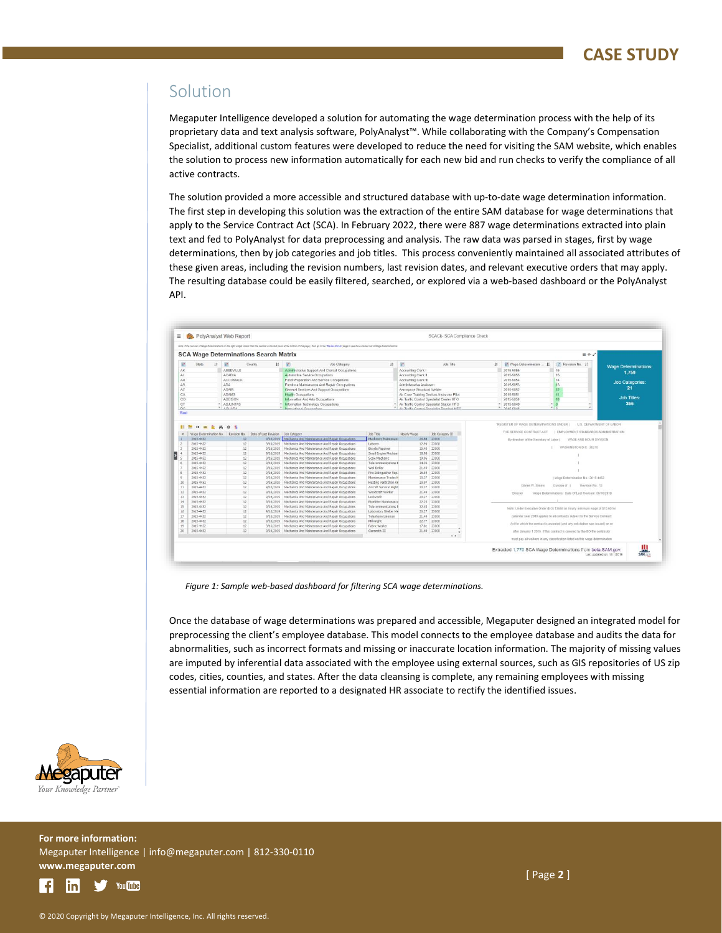#### Solution

Megaputer Intelligence developed a solution for automating the wage determination process with the help of its proprietary data and text analysis software, PolyAnalyst™. While collaborating with the Company's Compensation Specialist, additional custom features were developed to reduce the need for visiting the SAM website, which enables the solution to process new information automatically for each new bid and run checks to verify the compliance of all active contracts.

The solution provided a more accessible and structured database with up-to-date wage determination information. The first step in developing this solution was the extraction of the entire SAM database for wage determinations that apply to the Service Contract Act (SCA). In February 2022, there were 887 wage determinations extracted into plain text and fed to PolyAnalyst for data preprocessing and analysis. The raw data was parsed in stages, first by wage determinations, then by job categories and job titles. This process conveniently maintained all associated attributes of these given areas, including the revision numbers, last revision dates, and relevant executive orders that may apply. The resulting database could be easily filtered, searched, or explored via a web-based dashboard or the PolyAnalyst API.

|                | $\equiv$ $\blacksquare$ PolyAnalyst Web Report |   |                 |                                                                        |                                                                                                                                                                                                                           |                                        |                                            | SCACk- SCA Compliance Check                 |   |                          |                                                                               |                             |
|----------------|------------------------------------------------|---|-----------------|------------------------------------------------------------------------|---------------------------------------------------------------------------------------------------------------------------------------------------------------------------------------------------------------------------|----------------------------------------|--------------------------------------------|---------------------------------------------|---|--------------------------|-------------------------------------------------------------------------------|-----------------------------|
|                |                                                |   |                 |                                                                        | Note: if the number of Vilage Determinations on the right subpet is ass than the number extreded izeen at the bottom of this page). then go to the "Reveal Entert expert are of the builded net of Vilage Determinations. |                                        |                                            |                                             |   |                          |                                                                               |                             |
|                |                                                |   |                 | <b>SCA Wage Determinations Search Matrix</b>                           |                                                                                                                                                                                                                           |                                        |                                            |                                             |   |                          | $\equiv x \cdot x$                                                            |                             |
| 进              | State                                          | 挂 | $\frac{1}{n+1}$ | County<br>$1\frac{1}{2}$                                               | $\mathbb{R}^2$<br>Job Category                                                                                                                                                                                            | Iš:                                    | 固                                          | Job Title                                   | 挂 | Wage Determination<br>H. | 2 Revision No. 1                                                              | <b>Wage Determinations:</b> |
| AK             |                                                |   | ABBEVILLE       |                                                                        | Administrative Support And Clerical Occupations                                                                                                                                                                           |                                        | Accounting Clerk I                         |                                             |   | 2015-5856                | 16                                                                            |                             |
| AL.            |                                                |   | <b>ACADIA</b>   |                                                                        | Automotive Service Occupations                                                                                                                                                                                            |                                        | Accounting Clerk II                        |                                             |   | 2015-5855                | 15                                                                            | 1,759                       |
| AR             |                                                |   | ACCOMACK        |                                                                        | Food Preparation And Service Occupations                                                                                                                                                                                  |                                        | Accounting Clerk III                       |                                             |   | 2015-5854                | 14                                                                            |                             |
| AS             |                                                |   | ADA             |                                                                        | Furniture Maintenance And Repair Occupations                                                                                                                                                                              |                                        | Administrative Assistant                   |                                             |   | 2015-5853                | 13                                                                            | <b>Job Categories:</b>      |
| AZ.            |                                                |   | <b>ADAIR</b>    |                                                                        | General Services And Support Occupations                                                                                                                                                                                  |                                        | Aerospace Structural Welder                |                                             |   | 2015-5852                | 12                                                                            | 21                          |
| CA             |                                                |   | <b>ADAMS</b>    |                                                                        | <b>Health Occupations</b>                                                                                                                                                                                                 |                                        |                                            | Air Crew Training Devices Instructor Pilot  |   | 2015-5851                | 11                                                                            |                             |
| co             |                                                |   | ADDISON         |                                                                        | Information And Arts Occupations                                                                                                                                                                                          |                                        |                                            | Air Traffic Control Specialist Center HFO   |   | 2015-5850                |                                                                               | <b>Job Titles:</b>          |
| CT             |                                                |   | - ADJUNTAS      |                                                                        | - Information Technology Occupations                                                                                                                                                                                      |                                        | Air Traffic Control Specialist Station HFO |                                             |   | $-2015-5849$             | w.                                                                            | 366                         |
| ne.<br>Root    |                                                |   | <b>F</b> AGUADA |                                                                        | Instructional Occupations                                                                                                                                                                                                 |                                        |                                            | Air Textile Control Spacialist Torminal MEO |   | $P$ 1016 6248            |                                                                               |                             |
|                | 2015-4452<br>2015-4452                         |   | 12<br>12        | 9/16/2019<br>9/16/2019                                                 | Mechanics And Maintenance And Repair Occupations<br>Mechanics and Maintenance and Renair Occupations                                                                                                                      | Machinery Maintenano<br>Laborer        |                                            | 26.84 23000<br>12.90 23000                  |   |                          | By direction of the Secretary of Labor   WAGE AND HOUR DIVISION               |                             |
| $\overline{ }$ |                                                |   |                 | Wage Determination No. Revision No. Date of Last Revision Job Category |                                                                                                                                                                                                                           | Job Title                              | Hourly Wage                                | Job Category ID                             |   | THE SERVICE CONTRACT ACT | I EMPLOYMENT STANDARDS ADMINISTRATION                                         |                             |
|                |                                                |   |                 |                                                                        |                                                                                                                                                                                                                           |                                        |                                            |                                             |   |                          |                                                                               |                             |
|                |                                                |   |                 |                                                                        |                                                                                                                                                                                                                           |                                        |                                            |                                             |   |                          | WASHINGTON D.C. 20210                                                         |                             |
|                | 2015-4452                                      |   | 12              | 9/16/2019                                                              | Mechanics And Maintenance And Repair Occupations                                                                                                                                                                          | Bicycle Repairer                       |                                            | 15.40 23000                                 |   |                          |                                                                               |                             |
|                | 2015-4452                                      |   | 12              | 9/16/2019                                                              | Mechanics And Maintenance And Repair Occupations                                                                                                                                                                          | Small Engine Mechani                   |                                            | 18.98 23000                                 |   |                          |                                                                               |                             |
|                | 2015-4452<br>2015-4452                         |   | 12<br>12        | 9/16/2019<br>9/16/2019                                                 | Mechanics And Maintenance And Repair Occupations<br>Mechanics And Maintenance And Repair Occupations                                                                                                                      | Scale Mechanic<br>Telecommunications N | 34.35                                      | 19.06 23000<br>23000                        |   |                          |                                                                               |                             |
|                | 2015-4452                                      |   | 12              | Q/16/7019                                                              | Mechanics And Maintenance And Repair Occupations                                                                                                                                                                          | Well Driller                           |                                            | 21.49 23000                                 |   |                          |                                                                               |                             |
|                | 2015-4452                                      |   | 12              | Q/16/2019                                                              | Mechanics and Maintenance and Repair Occupations                                                                                                                                                                          | Fire Extinguisher Repa                 |                                            | 16.54 23000                                 |   |                          |                                                                               |                             |
|                | 2015-4452                                      |   | 12              | 9/16/2019                                                              | Mechanics And Maintenance And Repair Occupations                                                                                                                                                                          | Maintenance Trades H                   |                                            | 15.37 23000                                 |   |                          | I Wage Determination No.: 2015-4452                                           |                             |
|                | 2015-4452                                      |   | 12              | Q/16/2010                                                              | Mechanics And Maintenance And Repair Occupations                                                                                                                                                                          | Heating Ventilation An                 |                                            | 20.97 23000                                 |   |                          |                                                                               |                             |
|                | 2015-4452                                      |   | 12              | 9/16/2019                                                              | Mechanics And Maintenance And Repair Occupations                                                                                                                                                                          | Aircraft Survival Flight               |                                            | 20.27 23000                                 |   | Daniel W. Simms          | Division of 1<br>Revision No.: 12                                             |                             |
| 12             | 2015-4452                                      |   | 12              | 9/16/2019                                                              | Mechanics And Maintenance And Repair Occupations                                                                                                                                                                          | Woodcraft Worker                       |                                            | 21.49 23000                                 |   | Director                 |                                                                               |                             |
|                | 2015-4452                                      |   | 12              | 9/16/2019                                                              | Mechanics And Maintenance And Repair Occupations                                                                                                                                                                          | Locksmith                              |                                            | 20.27 23000                                 |   |                          | Wage Determinations! Date Of Last Revision: 09/16/2019                        |                             |
| 14             | 2015-4452                                      |   | 12              | 9/16/2019                                                              | Mechanics And Maintenance And Repair Occupations                                                                                                                                                                          | <b>Pipefitter Maintenance</b>          |                                            | 22.25 23000                                 |   |                          |                                                                               |                             |
| 15             | 2015-4452                                      |   | 12              | 9/16/2019                                                              | Mechanics And Maintenance And Repair Occupations                                                                                                                                                                          | Telecommunications N                   |                                            | 32.43 23000                                 |   |                          |                                                                               |                             |
|                | 2015-4452                                      |   | 12              | 9/16/2019                                                              | Mechanics And Maintenance And Repair Occupations                                                                                                                                                                          | Laboratory Shelter Me                  |                                            | 20.27 23000                                 |   |                          | Note: Under Executive Order (EO) 13658 an hourly minimum wage of \$10.60 for  |                             |
|                | 2015-4452                                      |   | 12              | 9/16/2019                                                              | Mechanics And Maintenance And Repair Occupations.                                                                                                                                                                         | Telephone Lineman                      |                                            | 21.49 23000                                 |   |                          | calendar year 2019 applies to all contracts subject to the Service Contract   |                             |
|                | 2015-4452                                      |   | 12              | 9/16/2019                                                              | Mechanics And Maintenance And Repair Occupations                                                                                                                                                                          | Milwright                              |                                            | 22.77 23000                                 |   |                          |                                                                               |                             |
| 19             | 2015-4452                                      |   | 12              | 9/16/2019                                                              | Mechanics And Maintenance And Repair Occupations                                                                                                                                                                          | Fabric Worker                          |                                            | 17.81 23000                                 |   |                          | Act for which the contract is awarded (and any solicitation was Issued) on or |                             |
| 20             | 2015-4452                                      |   | $12^{12}$       | 9/16/2019                                                              | Mechanics And Maintenance And Repair Occupations                                                                                                                                                                          | Gunsmith III                           |                                            | 21.49 23000                                 |   |                          | after January 1 2015. If this contract is covered by the EO the contractor    |                             |
|                |                                                |   |                 |                                                                        |                                                                                                                                                                                                                           |                                        |                                            | $\rightarrow$                               |   |                          | must pay all workers in any dassification listed on this wage determination.  |                             |
|                |                                                |   |                 |                                                                        |                                                                                                                                                                                                                           |                                        |                                            |                                             |   |                          |                                                                               |                             |

*Figure 1: Sample web-based dashboard for filtering SCA wage determinations.*

Once the database of wage determinations was prepared and accessible, Megaputer designed an integrated model for preprocessing the client's employee database. This model connects to the employee database and audits the data for abnormalities, such as incorrect formats and missing or inaccurate location information. The majority of missing values are imputed by inferential data associated with the employee using external sources, such as GIS repositories of US zip codes, cities, counties, and states. After the data cleansing is complete, any remaining employees with missing essential information are reported to a designated HR associate to rectify the identified issues.



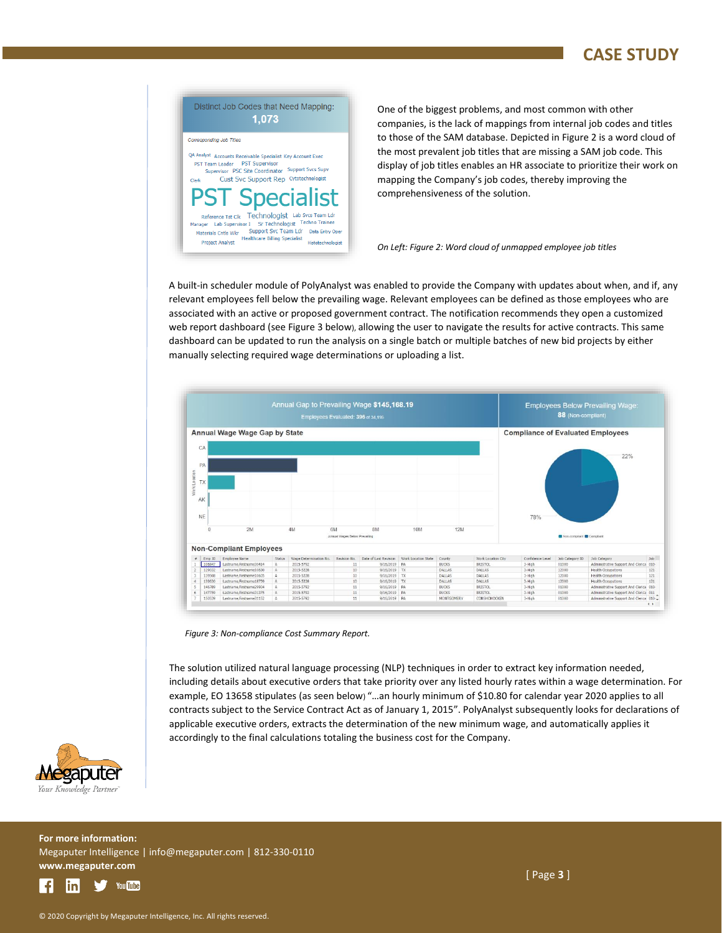#### **CASE STUDY**



One of the biggest problems, and most common with other companies, is the lack of mappings from internal job codes and titles to those of the SAM database. Depicted in Figure 2 is a word cloud of the most prevalent job titles that are missing a SAM job code. This display of job titles enables an HR associate to prioritize their work on mapping the Company's job codes, thereby improving the comprehensiveness of the solution.

#### *On Left: Figure 2: Word cloud of unmapped employee job titles*

A built-in scheduler module of PolyAnalyst was enabled to provide the Company with updates about when, and if, any relevant employees fell below the prevailing wage. Relevant employees can be defined as those employees who are associated with an active or proposed government contract. The notification recommends they open a customized web report dashboard (see Figure 3 below), allowing the user to navigate the results for active contracts. This same dashboard can be updated to run the analysis on a single batch or multiple batches of new bid projects by either manually selecting required wage determinations or uploading a list.



*Figure 3: Non-compliance Cost Summary Report.*

The solution utilized natural language processing (NLP) techniques in order to extract key information needed, including details about executive orders that take priority over any listed hourly rates within a wage determination. For example, EO 13658 stipulates (as seen below) "…an hourly minimum of \$10.80 for calendar year 2020 applies to all contracts subject to the Service Contract Act as of January 1, 2015". PolyAnalyst subsequently looks for declarations of applicable executive orders, extracts the determination of the new minimum wage, and automatically applies it accordingly to the final calculations totaling the business cost for the Company.